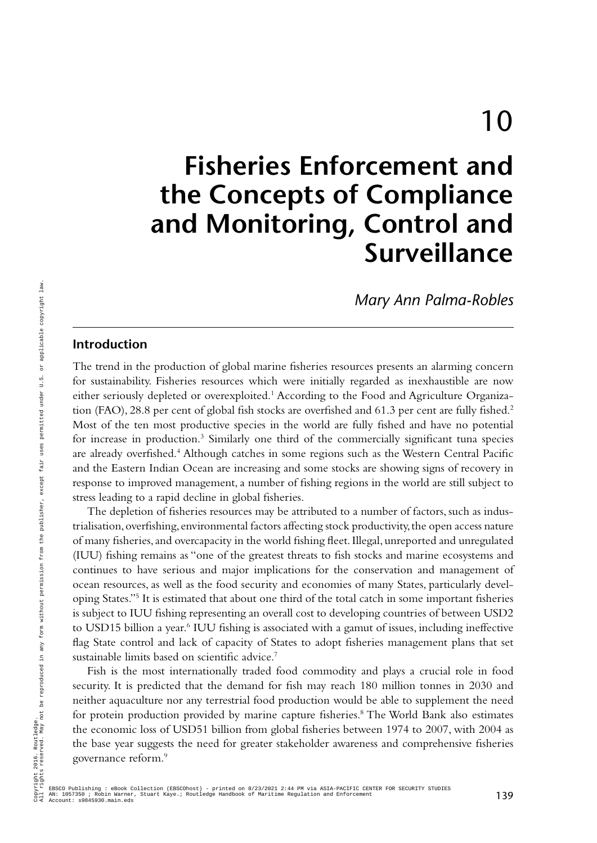# **Fisheries Enforcement and the Concepts of Compliance and Monitoring, Control and Surveillance**

*Mary Ann Palma-Robles*

## **Introduction**

The trend in the production of global marine fisheries resources presents an alarming concern for sustainability. Fisheries resources which were initially regarded as inexhaustible are now either seriously depleted or overexploited.<sup>1</sup> According to the Food and Agriculture Organization (FAO), 28.8 per cent of global fish stocks are overfished and 61.3 per cent are fully fished.<sup>2</sup> Most of the ten most productive species in the world are fully fished and have no potential for increase in production.<sup>3</sup> Similarly one third of the commercially significant tuna species are already overfished.4 Although catches in some regions such as the Western Central Pacific and the Eastern Indian Ocean are increasing and some stocks are showing signs of recovery in response to improved management, a number of fishing regions in the world are still subject to stress leading to a rapid decline in global fisheries.

The depletion of fisheries resources may be attributed to a number of factors, such as industrialisation, overfishing, environmental factors affecting stock productivity, the open access nature of many fisheries, and overcapacity in the world fishing fleet. Illegal, unreported and unregulated (IUU) fishing remains as "one of the greatest threats to fish stocks and marine ecosystems and continues to have serious and major implications for the conservation and management of ocean resources, as well as the food security and economies of many States, particularly developing States."5 It is estimated that about one third of the total catch in some important fisheries is subject to IUU fishing representing an overall cost to developing countries of between USD2 to USD15 billion a year.<sup>6</sup> IUU fishing is associated with a gamut of issues, including ineffective flag State control and lack of capacity of States to adopt fisheries management plans that set sustainable limits based on scientific advice.7

Fish is the most internationally traded food commodity and plays a crucial role in food security. It is predicted that the demand for fish may reach 180 million tonnes in 2030 and neither aquaculture nor any terrestrial food production would be able to supplement the need for protein production provided by marine capture fisheries.<sup>8</sup> The World Bank also estimates the economic loss of USD51 billion from global fisheries between 1974 to 2007, with 2004 as the base year suggests the need for greater stakeholder awareness and comprehensive fisheries governance reform.<sup>9</sup>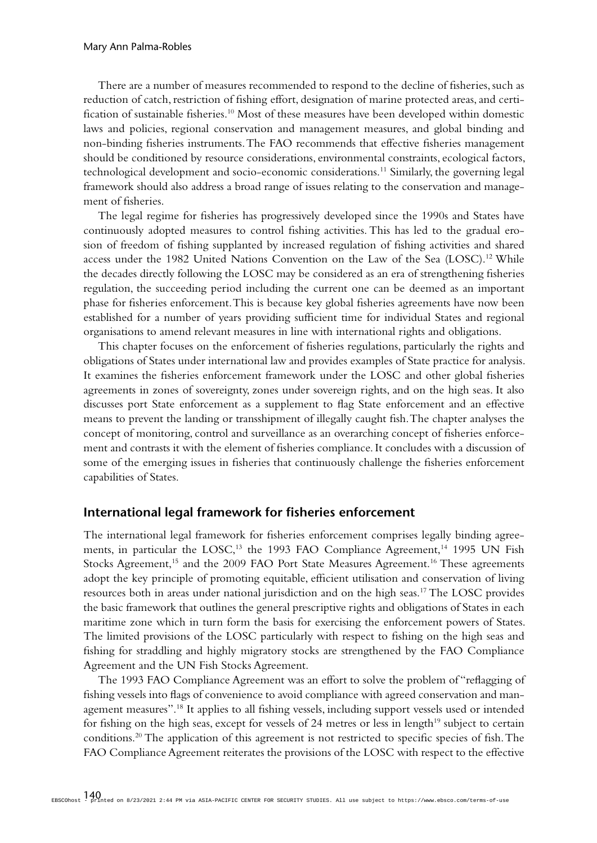There are a number of measures recommended to respond to the decline of fisheries, such as reduction of catch, restriction of fishing effort, designation of marine protected areas, and certification of sustainable fisheries.10 Most of these measures have been developed within domestic laws and policies, regional conservation and management measures, and global binding and non-binding fisheries instruments. The FAO recommends that effective fisheries management should be conditioned by resource considerations, environmental constraints, ecological factors, technological development and socio-economic considerations.11 Similarly, the governing legal framework should also address a broad range of issues relating to the conservation and management of fisheries.

The legal regime for fisheries has progressively developed since the 1990s and States have continuously adopted measures to control fishing activities. This has led to the gradual erosion of freedom of fishing supplanted by increased regulation of fishing activities and shared access under the 1982 United Nations Convention on the Law of the Sea (LOSC).<sup>12</sup> While the decades directly following the LOSC may be considered as an era of strengthening fisheries regulation, the succeeding period including the current one can be deemed as an important phase for fisheries enforcement. This is because key global fisheries agreements have now been established for a number of years providing sufficient time for individual States and regional organisations to amend relevant measures in line with international rights and obligations.

This chapter focuses on the enforcement of fisheries regulations, particularly the rights and obligations of States under international law and provides examples of State practice for analysis. It examines the fisheries enforcement framework under the LOSC and other global fisheries agreements in zones of sovereignty, zones under sovereign rights, and on the high seas. It also discusses port State enforcement as a supplement to flag State enforcement and an effective means to prevent the landing or transshipment of illegally caught fish. The chapter analyses the concept of monitoring, control and surveillance as an overarching concept of fisheries enforcement and contrasts it with the element of fisheries compliance. It concludes with a discussion of some of the emerging issues in fisheries that continuously challenge the fisheries enforcement capabilities of States.

#### **International legal framework for fisheries enforcement**

The international legal framework for fisheries enforcement comprises legally binding agreements, in particular the LOSC,<sup>13</sup> the 1993 FAO Compliance Agreement,<sup>14</sup> 1995 UN Fish Stocks Agreement,<sup>15</sup> and the 2009 FAO Port State Measures Agreement.<sup>16</sup> These agreements adopt the key principle of promoting equitable, efficient utilisation and conservation of living resources both in areas under national jurisdiction and on the high seas.17 The LOSC provides the basic framework that outlines the general prescriptive rights and obligations of States in each maritime zone which in turn form the basis for exercising the enforcement powers of States. The limited provisions of the LOSC particularly with respect to fishing on the high seas and fishing for straddling and highly migratory stocks are strengthened by the FAO Compliance Agreement and the UN Fish Stocks Agreement.

The 1993 FAO Compliance Agreement was an effort to solve the problem of "reflagging of fishing vessels into flags of convenience to avoid compliance with agreed conservation and management measures".18 It applies to all fishing vessels, including support vessels used or intended for fishing on the high seas, except for vessels of 24 metres or less in length<sup>19</sup> subject to certain conditions.20 The application of this agreement is not restricted to specific species of fish. The FAO Compliance Agreement reiterates the provisions of the LOSC with respect to the effective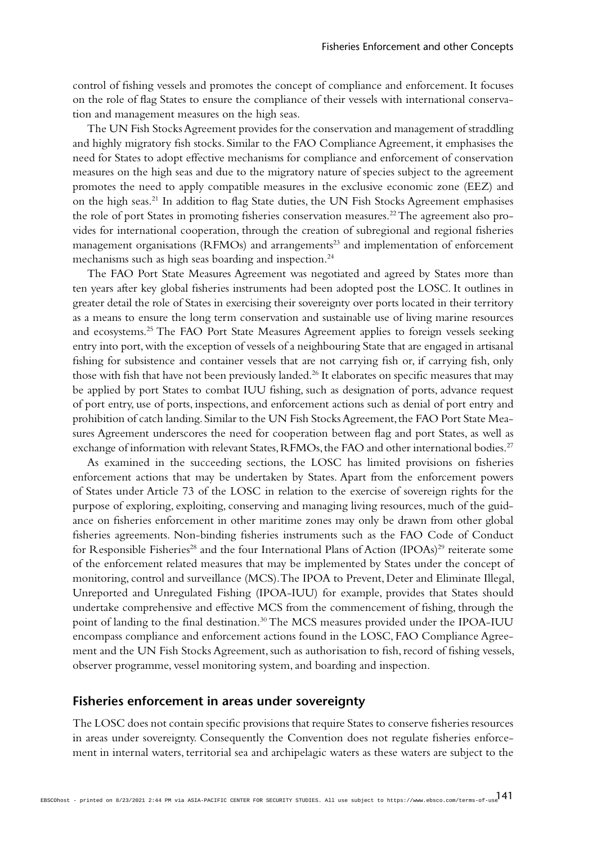control of fishing vessels and promotes the concept of compliance and enforcement. It focuses on the role of flag States to ensure the compliance of their vessels with international conservation and management measures on the high seas.

The UN Fish Stocks Agreement provides for the conservation and management of straddling and highly migratory fish stocks. Similar to the FAO Compliance Agreement, it emphasises the need for States to adopt effective mechanisms for compliance and enforcement of conservation measures on the high seas and due to the migratory nature of species subject to the agreement promotes the need to apply compatible measures in the exclusive economic zone (EEZ) and on the high seas.21 In addition to flag State duties, the UN Fish Stocks Agreement emphasises the role of port States in promoting fisheries conservation measures.<sup>22</sup> The agreement also provides for international cooperation, through the creation of subregional and regional fisheries management organisations (RFMOs) and arrangements23 and implementation of enforcement mechanisms such as high seas boarding and inspection.24

The FAO Port State Measures Agreement was negotiated and agreed by States more than ten years after key global fisheries instruments had been adopted post the LOSC. It outlines in greater detail the role of States in exercising their sovereignty over ports located in their territory as a means to ensure the long term conservation and sustainable use of living marine resources and ecosystems.25 The FAO Port State Measures Agreement applies to foreign vessels seeking entry into port, with the exception of vessels of a neighbouring State that are engaged in artisanal fishing for subsistence and container vessels that are not carrying fish or, if carrying fish, only those with fish that have not been previously landed.<sup>26</sup> It elaborates on specific measures that may be applied by port States to combat IUU fishing, such as designation of ports, advance request of port entry, use of ports, inspections, and enforcement actions such as denial of port entry and prohibition of catch landing. Similar to the UN Fish Stocks Agreement, the FAO Port State Measures Agreement underscores the need for cooperation between flag and port States, as well as exchange of information with relevant States, RFMOs, the FAO and other international bodies.<sup>27</sup>

As examined in the succeeding sections, the LOSC has limited provisions on fisheries enforcement actions that may be undertaken by States. Apart from the enforcement powers of States under Article 73 of the LOSC in relation to the exercise of sovereign rights for the purpose of exploring, exploiting, conserving and managing living resources, much of the guidance on fisheries enforcement in other maritime zones may only be drawn from other global fisheries agreements. Non-binding fisheries instruments such as the FAO Code of Conduct for Responsible Fisheries<sup>28</sup> and the four International Plans of Action (IPOAs)<sup>29</sup> reiterate some of the enforcement related measures that may be implemented by States under the concept of monitoring, control and surveillance (MCS). The IPOA to Prevent, Deter and Eliminate Illegal, Unreported and Unregulated Fishing (IPOA-IUU) for example, provides that States should undertake comprehensive and effective MCS from the commencement of fishing, through the point of landing to the final destination.30 The MCS measures provided under the IPOA-IUU encompass compliance and enforcement actions found in the LOSC, FAO Compliance Agreement and the UN Fish Stocks Agreement, such as authorisation to fish, record of fishing vessels, observer programme, vessel monitoring system, and boarding and inspection.

## **Fisheries enforcement in areas under sovereignty**

The LOSC does not contain specific provisions that require States to conserve fisheries resources in areas under sovereignty. Consequently the Convention does not regulate fisheries enforcement in internal waters, territorial sea and archipelagic waters as these waters are subject to the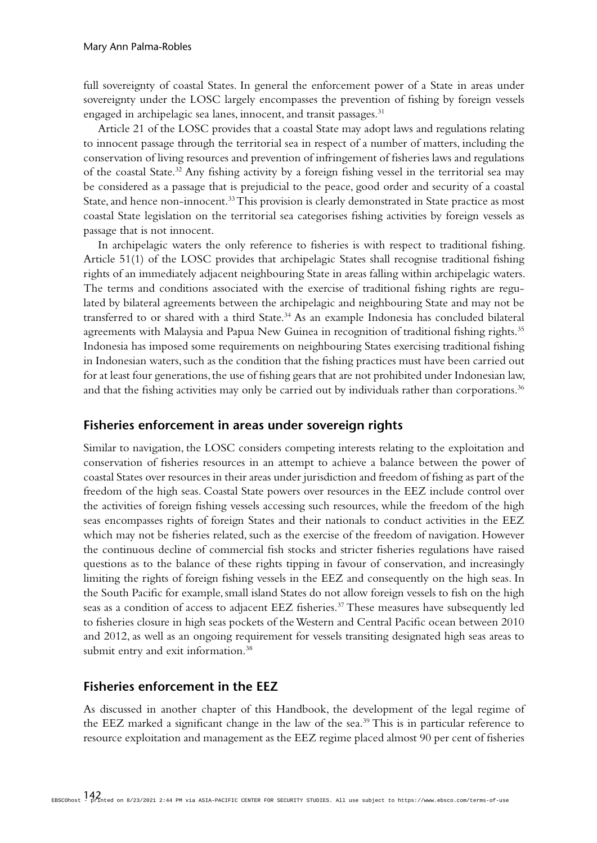full sovereignty of coastal States. In general the enforcement power of a State in areas under sovereignty under the LOSC largely encompasses the prevention of fishing by foreign vessels engaged in archipelagic sea lanes, innocent, and transit passages.<sup>31</sup>

Article 21 of the LOSC provides that a coastal State may adopt laws and regulations relating to innocent passage through the territorial sea in respect of a number of matters, including the conservation of living resources and prevention of infringement of fisheries laws and regulations of the coastal State.32 Any fishing activity by a foreign fishing vessel in the territorial sea may be considered as a passage that is prejudicial to the peace, good order and security of a coastal State, and hence non-innocent.33 This provision is clearly demonstrated in State practice as most coastal State legislation on the territorial sea categorises fishing activities by foreign vessels as passage that is not innocent.

In archipelagic waters the only reference to fisheries is with respect to traditional fishing. Article 51(1) of the LOSC provides that archipelagic States shall recognise traditional fishing rights of an immediately adjacent neighbouring State in areas falling within archipelagic waters. The terms and conditions associated with the exercise of traditional fishing rights are regulated by bilateral agreements between the archipelagic and neighbouring State and may not be transferred to or shared with a third State.<sup>34</sup> As an example Indonesia has concluded bilateral agreements with Malaysia and Papua New Guinea in recognition of traditional fishing rights.<sup>35</sup> Indonesia has imposed some requirements on neighbouring States exercising traditional fishing in Indonesian waters, such as the condition that the fishing practices must have been carried out for at least four generations, the use of fishing gears that are not prohibited under Indonesian law, and that the fishing activities may only be carried out by individuals rather than corporations.<sup>36</sup>

#### **Fisheries enforcement in areas under sovereign rights**

Similar to navigation, the LOSC considers competing interests relating to the exploitation and conservation of fisheries resources in an attempt to achieve a balance between the power of coastal States over resources in their areas under jurisdiction and freedom of fishing as part of the freedom of the high seas. Coastal State powers over resources in the EEZ include control over the activities of foreign fishing vessels accessing such resources, while the freedom of the high seas encompasses rights of foreign States and their nationals to conduct activities in the EEZ which may not be fisheries related, such as the exercise of the freedom of navigation. However the continuous decline of commercial fish stocks and stricter fisheries regulations have raised questions as to the balance of these rights tipping in favour of conservation, and increasingly limiting the rights of foreign fishing vessels in the EEZ and consequently on the high seas. In the South Pacific for example, small island States do not allow foreign vessels to fish on the high seas as a condition of access to adjacent EEZ fisheries.<sup>37</sup> These measures have subsequently led to fisheries closure in high seas pockets of the Western and Central Pacific ocean between 2010 and 2012, as well as an ongoing requirement for vessels transiting designated high seas areas to submit entry and exit information.<sup>38</sup>

#### **Fisheries enforcement in the EEZ**

As discussed in another chapter of this Handbook, the development of the legal regime of the EEZ marked a significant change in the law of the sea.<sup>39</sup> This is in particular reference to resource exploitation and management as the EEZ regime placed almost 90 per cent of fisheries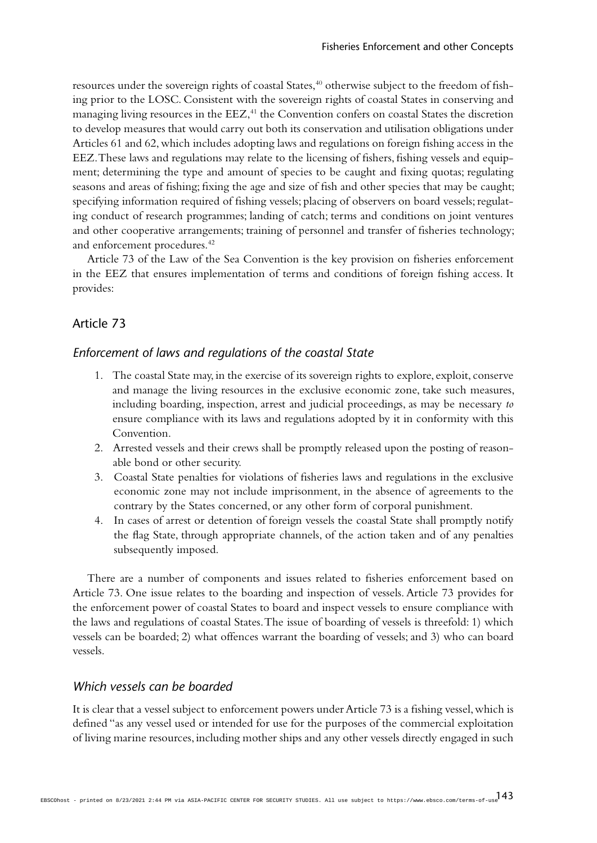resources under the sovereign rights of coastal States,<sup>40</sup> otherwise subject to the freedom of fishing prior to the LOSC. Consistent with the sovereign rights of coastal States in conserving and managing living resources in the EEZ,<sup>41</sup> the Convention confers on coastal States the discretion to develop measures that would carry out both its conservation and utilisation obligations under Articles 61 and 62, which includes adopting laws and regulations on foreign fishing access in the EEZ. These laws and regulations may relate to the licensing of fishers, fishing vessels and equipment; determining the type and amount of species to be caught and fixing quotas; regulating seasons and areas of fishing; fixing the age and size of fish and other species that may be caught; specifying information required of fishing vessels; placing of observers on board vessels; regulating conduct of research programmes; landing of catch; terms and conditions on joint ventures and other cooperative arrangements; training of personnel and transfer of fisheries technology; and enforcement procedures.42

Article 73 of the Law of the Sea Convention is the key provision on fisheries enforcement in the EEZ that ensures implementation of terms and conditions of foreign fishing access. It provides:

## Article 73

## *Enforcement of laws and regulations of the coastal State*

- 1. The coastal State may, in the exercise of its sovereign rights to explore, exploit, conserve and manage the living resources in the exclusive economic zone, take such measures, including boarding, inspection, arrest and judicial proceedings, as may be necessary *to* ensure compliance with its laws and regulations adopted by it in conformity with this Convention.
- 2. Arrested vessels and their crews shall be promptly released upon the posting of reasonable bond or other security.
- 3. Coastal State penalties for violations of fisheries laws and regulations in the exclusive economic zone may not include imprisonment, in the absence of agreements to the contrary by the States concerned, or any other form of corporal punishment.
- 4. In cases of arrest or detention of foreign vessels the coastal State shall promptly notify the flag State, through appropriate channels, of the action taken and of any penalties subsequently imposed.

There are a number of components and issues related to fisheries enforcement based on Article 73. One issue relates to the boarding and inspection of vessels. Article 73 provides for the enforcement power of coastal States to board and inspect vessels to ensure compliance with the laws and regulations of coastal States. The issue of boarding of vessels is threefold: 1) which vessels can be boarded; 2) what offences warrant the boarding of vessels; and 3) who can board vessels.

## *Which vessels can be boarded*

It is clear that a vessel subject to enforcement powers under Article 73 is a fishing vessel, which is defined "as any vessel used or intended for use for the purposes of the commercial exploitation of living marine resources, including mother ships and any other vessels directly engaged in such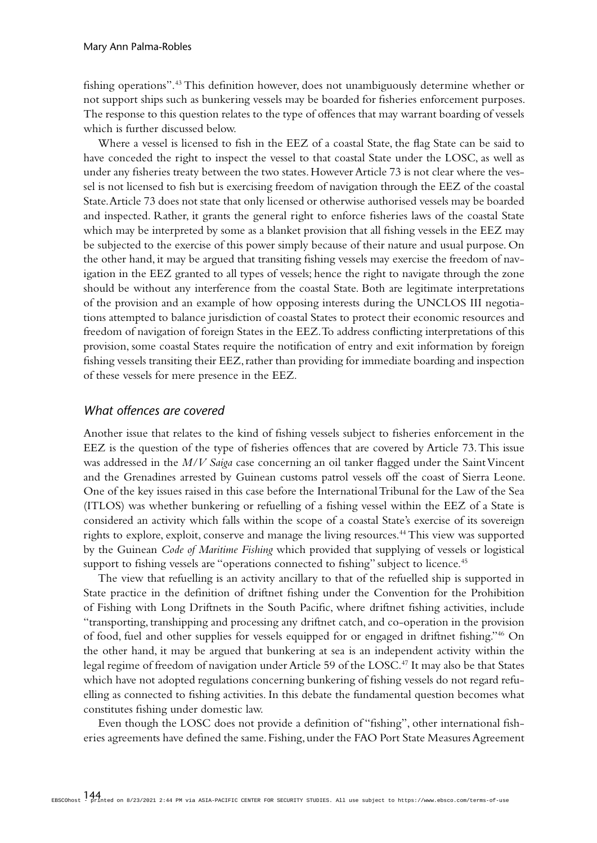fishing operations".43 This definition however, does not unambiguously determine whether or not support ships such as bunkering vessels may be boarded for fisheries enforcement purposes. The response to this question relates to the type of offences that may warrant boarding of vessels which is further discussed below.

Where a vessel is licensed to fish in the EEZ of a coastal State, the flag State can be said to have conceded the right to inspect the vessel to that coastal State under the LOSC, as well as under any fisheries treaty between the two states. However Article 73 is not clear where the vessel is not licensed to fish but is exercising freedom of navigation through the EEZ of the coastal State. Article 73 does not state that only licensed or otherwise authorised vessels may be boarded and inspected. Rather, it grants the general right to enforce fisheries laws of the coastal State which may be interpreted by some as a blanket provision that all fishing vessels in the EEZ may be subjected to the exercise of this power simply because of their nature and usual purpose. On the other hand, it may be argued that transiting fishing vessels may exercise the freedom of navigation in the EEZ granted to all types of vessels; hence the right to navigate through the zone should be without any interference from the coastal State. Both are legitimate interpretations of the provision and an example of how opposing interests during the UNCLOS III negotiations attempted to balance jurisdiction of coastal States to protect their economic resources and freedom of navigation of foreign States in the EEZ. To address conflicting interpretations of this provision, some coastal States require the notification of entry and exit information by foreign fishing vessels transiting their EEZ, rather than providing for immediate boarding and inspection of these vessels for mere presence in the EEZ.

#### *What offences are covered*

Another issue that relates to the kind of fishing vessels subject to fisheries enforcement in the EEZ is the question of the type of fisheries offences that are covered by Article 73. This issue was addressed in the *M/V Saiga* case concerning an oil tanker flagged under the Saint Vincent and the Grenadines arrested by Guinean customs patrol vessels off the coast of Sierra Leone. One of the key issues raised in this case before the International Tribunal for the Law of the Sea (ITLOS) was whether bunkering or refuelling of a fishing vessel within the EEZ of a State is considered an activity which falls within the scope of a coastal State's exercise of its sovereign rights to explore, exploit, conserve and manage the living resources.<sup>44</sup> This view was supported by the Guinean *Code of Maritime Fishing* which provided that supplying of vessels or logistical support to fishing vessels are "operations connected to fishing" subject to licence.<sup>45</sup>

The view that refuelling is an activity ancillary to that of the refuelled ship is supported in State practice in the definition of driftnet fishing under the Convention for the Prohibition of Fishing with Long Driftnets in the South Pacific, where driftnet fishing activities, include "transporting, transhipping and processing any driftnet catch, and co-operation in the provision of food, fuel and other supplies for vessels equipped for or engaged in driftnet fishing."46 On the other hand, it may be argued that bunkering at sea is an independent activity within the legal regime of freedom of navigation under Article 59 of the LOSC.<sup>47</sup> It may also be that States which have not adopted regulations concerning bunkering of fishing vessels do not regard refuelling as connected to fishing activities. In this debate the fundamental question becomes what constitutes fishing under domestic law.

Even though the LOSC does not provide a definition of "fishing", other international fisheries agreements have defined the same. Fishing, under the FAO Port State Measures Agreement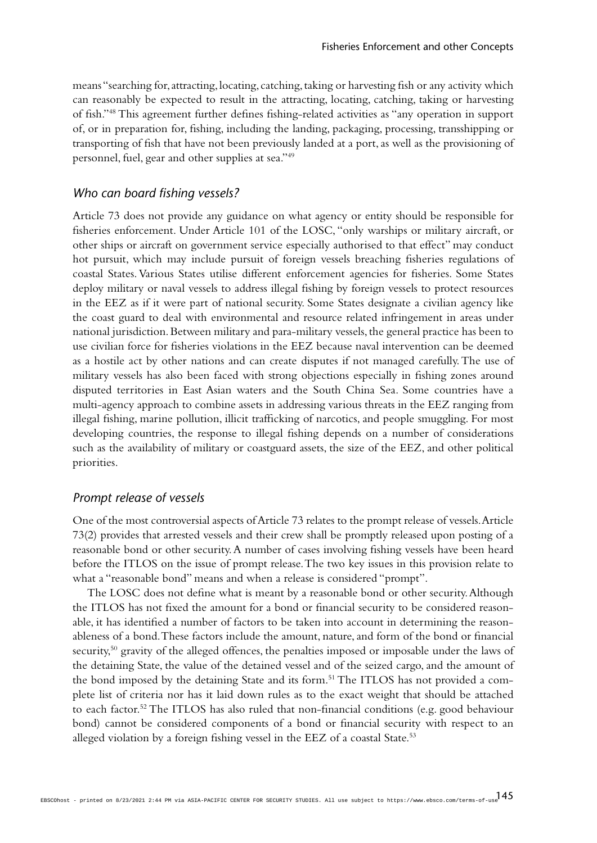means "searching for, attracting, locating, catching, taking or harvesting fish or any activity which can reasonably be expected to result in the attracting, locating, catching, taking or harvesting of fish."48 This agreement further defines fishing-related activities as "any operation in support of, or in preparation for, fishing, including the landing, packaging, processing, transshipping or transporting of fish that have not been previously landed at a port, as well as the provisioning of personnel, fuel, gear and other supplies at sea."49

#### *Who can board fishing vessels?*

Article 73 does not provide any guidance on what agency or entity should be responsible for fisheries enforcement. Under Article 101 of the LOSC, "only warships or military aircraft, or other ships or aircraft on government service especially authorised to that effect" may conduct hot pursuit, which may include pursuit of foreign vessels breaching fisheries regulations of coastal States. Various States utilise different enforcement agencies for fisheries. Some States deploy military or naval vessels to address illegal fishing by foreign vessels to protect resources in the EEZ as if it were part of national security. Some States designate a civilian agency like the coast guard to deal with environmental and resource related infringement in areas under national jurisdiction. Between military and para-military vessels, the general practice has been to use civilian force for fisheries violations in the EEZ because naval intervention can be deemed as a hostile act by other nations and can create disputes if not managed carefully. The use of military vessels has also been faced with strong objections especially in fishing zones around disputed territories in East Asian waters and the South China Sea. Some countries have a multi-agency approach to combine assets in addressing various threats in the EEZ ranging from illegal fishing, marine pollution, illicit trafficking of narcotics, and people smuggling. For most developing countries, the response to illegal fishing depends on a number of considerations such as the availability of military or coastguard assets, the size of the EEZ, and other political priorities.

### *Prompt release of vessels*

One of the most controversial aspects of Article 73 relates to the prompt release of vessels. Article 73(2) provides that arrested vessels and their crew shall be promptly released upon posting of a reasonable bond or other security. A number of cases involving fishing vessels have been heard before the ITLOS on the issue of prompt release. The two key issues in this provision relate to what a "reasonable bond" means and when a release is considered "prompt".

The LOSC does not define what is meant by a reasonable bond or other security. Although the ITLOS has not fixed the amount for a bond or financial security to be considered reasonable, it has identified a number of factors to be taken into account in determining the reasonableness of a bond. These factors include the amount, nature, and form of the bond or financial security, $50$  gravity of the alleged offences, the penalties imposed or imposable under the laws of the detaining State, the value of the detained vessel and of the seized cargo, and the amount of the bond imposed by the detaining State and its form.<sup>51</sup> The ITLOS has not provided a complete list of criteria nor has it laid down rules as to the exact weight that should be attached to each factor.<sup>52</sup> The ITLOS has also ruled that non-financial conditions (e.g. good behaviour bond) cannot be considered components of a bond or financial security with respect to an alleged violation by a foreign fishing vessel in the EEZ of a coastal State.<sup>53</sup>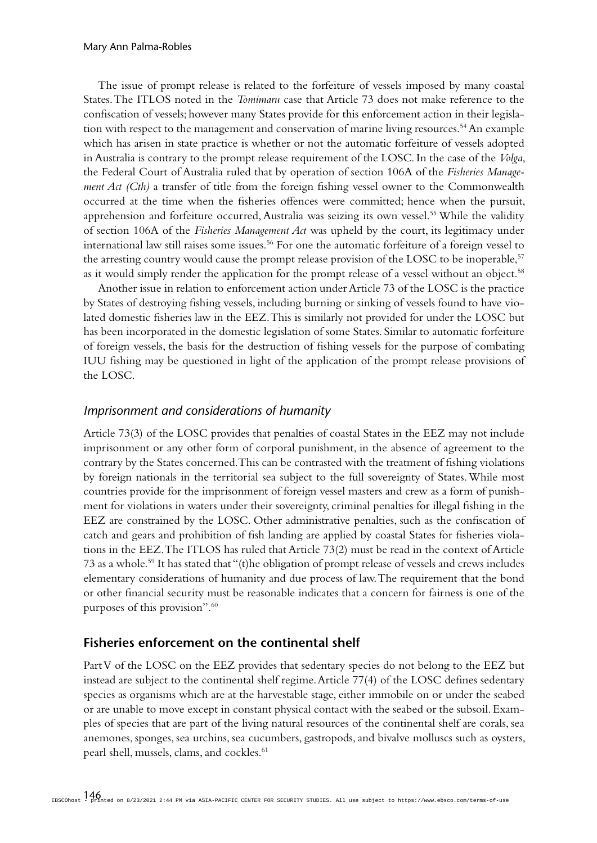The issue of prompt release is related to the forfeiture of vessels imposed by many coastal States. The ITLOS noted in the *Tomimaru* case that Article 73 does not make reference to the confiscation of vessels; however many States provide for this enforcement action in their legislation with respect to the management and conservation of marine living resources.<sup>54</sup> An example which has arisen in state practice is whether or not the automatic forfeiture of vessels adopted in Australia is contrary to the prompt release requirement of the LOSC. In the case of the *Volga*, the Federal Court of Australia ruled that by operation of section 106A of the *Fisheries Management Act (Cth)* a transfer of title from the foreign fishing vessel owner to the Commonwealth occurred at the time when the fisheries offences were committed; hence when the pursuit, apprehension and forfeiture occurred, Australia was seizing its own vessel.<sup>55</sup> While the validity of section 106A of the *Fisheries Management Act* was upheld by the court, its legitimacy under international law still raises some issues.56 For one the automatic forfeiture of a foreign vessel to the arresting country would cause the prompt release provision of the LOSC to be inoperable,<sup>57</sup> as it would simply render the application for the prompt release of a vessel without an object.58

Another issue in relation to enforcement action under Article 73 of the LOSC is the practice by States of destroying fishing vessels, including burning or sinking of vessels found to have violated domestic fisheries law in the EEZ. This is similarly not provided for under the LOSC but has been incorporated in the domestic legislation of some States. Similar to automatic forfeiture of foreign vessels, the basis for the destruction of fishing vessels for the purpose of combating IUU fishing may be questioned in light of the application of the prompt release provisions of the LOSC.

## *Imprisonment and considerations of humanity*

Article 73(3) of the LOSC provides that penalties of coastal States in the EEZ may not include imprisonment or any other form of corporal punishment, in the absence of agreement to the contrary by the States concerned. This can be contrasted with the treatment of fishing violations by foreign nationals in the territorial sea subject to the full sovereignty of States. While most countries provide for the imprisonment of foreign vessel masters and crew as a form of punishment for violations in waters under their sovereignty, criminal penalties for illegal fishing in the EEZ are constrained by the LOSC. Other administrative penalties, such as the confiscation of catch and gears and prohibition of fish landing are applied by coastal States for fisheries violations in the EEZ. The ITLOS has ruled that Article 73(2) must be read in the context of Article 73 as a whole.59 It has stated that "(t)he obligation of prompt release of vessels and crews includes elementary considerations of humanity and due process of law. The requirement that the bond or other financial security must be reasonable indicates that a concern for fairness is one of the purposes of this provision".<sup>60</sup>

## **Fisheries enforcement on the continental shelf**

Part V of the LOSC on the EEZ provides that sedentary species do not belong to the EEZ but instead are subject to the continental shelf regime. Article 77(4) of the LOSC defines sedentary species as organisms which are at the harvestable stage, either immobile on or under the seabed or are unable to move except in constant physical contact with the seabed or the subsoil. Examples of species that are part of the living natural resources of the continental shelf are corals, sea anemones, sponges, sea urchins, sea cucumbers, gastropods, and bivalve molluscs such as oysters, pearl shell, mussels, clams, and cockles.<sup>61</sup>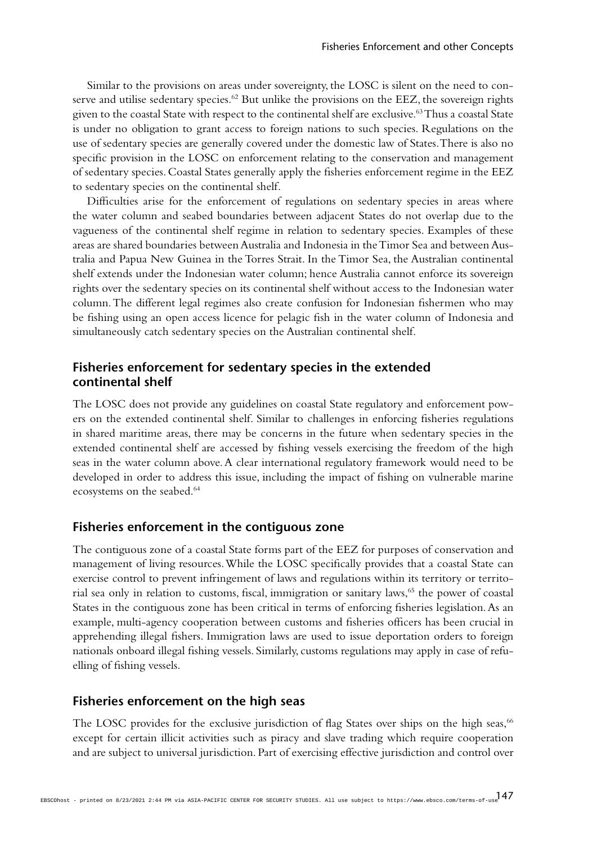Similar to the provisions on areas under sovereignty, the LOSC is silent on the need to conserve and utilise sedentary species. $62$  But unlike the provisions on the EEZ, the sovereign rights given to the coastal State with respect to the continental shelf are exclusive.63 Thus a coastal State is under no obligation to grant access to foreign nations to such species. Regulations on the use of sedentary species are generally covered under the domestic law of States. There is also no specific provision in the LOSC on enforcement relating to the conservation and management of sedentary species. Coastal States generally apply the fisheries enforcement regime in the EEZ to sedentary species on the continental shelf.

Difficulties arise for the enforcement of regulations on sedentary species in areas where the water column and seabed boundaries between adjacent States do not overlap due to the vagueness of the continental shelf regime in relation to sedentary species. Examples of these areas are shared boundaries between Australia and Indonesia in the Timor Sea and between Australia and Papua New Guinea in the Torres Strait. In the Timor Sea, the Australian continental shelf extends under the Indonesian water column; hence Australia cannot enforce its sovereign rights over the sedentary species on its continental shelf without access to the Indonesian water column. The different legal regimes also create confusion for Indonesian fishermen who may be fishing using an open access licence for pelagic fish in the water column of Indonesia and simultaneously catch sedentary species on the Australian continental shelf.

## **Fisheries enforcement for sedentary species in the extended continental shelf**

The LOSC does not provide any guidelines on coastal State regulatory and enforcement powers on the extended continental shelf. Similar to challenges in enforcing fisheries regulations in shared maritime areas, there may be concerns in the future when sedentary species in the extended continental shelf are accessed by fishing vessels exercising the freedom of the high seas in the water column above. A clear international regulatory framework would need to be developed in order to address this issue, including the impact of fishing on vulnerable marine ecosystems on the seabed.<sup>64</sup>

## **Fisheries enforcement in the contiguous zone**

The contiguous zone of a coastal State forms part of the EEZ for purposes of conservation and management of living resources. While the LOSC specifically provides that a coastal State can exercise control to prevent infringement of laws and regulations within its territory or territorial sea only in relation to customs, fiscal, immigration or sanitary laws,<sup>65</sup> the power of coastal States in the contiguous zone has been critical in terms of enforcing fisheries legislation. As an example, multi-agency cooperation between customs and fisheries officers has been crucial in apprehending illegal fishers. Immigration laws are used to issue deportation orders to foreign nationals onboard illegal fishing vessels. Similarly, customs regulations may apply in case of refuelling of fishing vessels.

## **Fisheries enforcement on the high seas**

The LOSC provides for the exclusive jurisdiction of flag States over ships on the high seas,<sup>66</sup> except for certain illicit activities such as piracy and slave trading which require cooperation and are subject to universal jurisdiction. Part of exercising effective jurisdiction and control over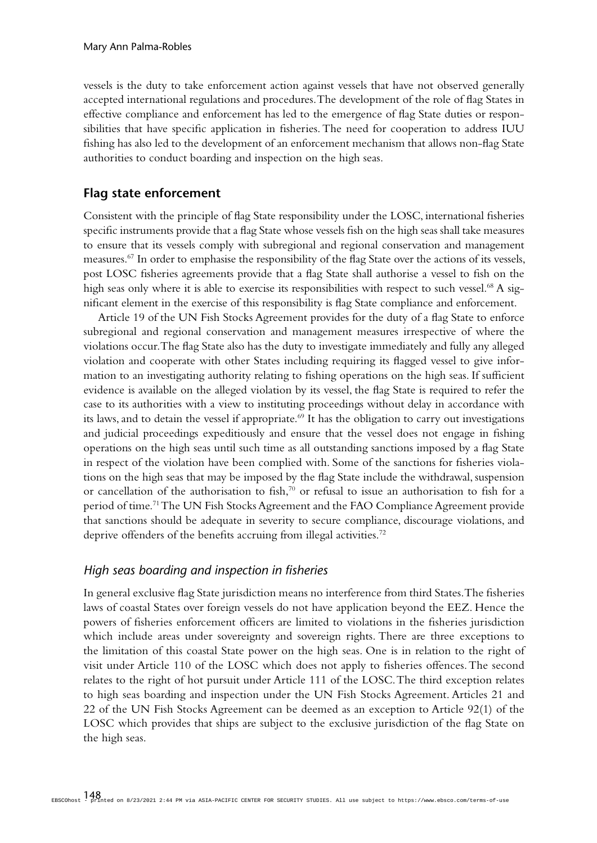vessels is the duty to take enforcement action against vessels that have not observed generally accepted international regulations and procedures. The development of the role of flag States in effective compliance and enforcement has led to the emergence of flag State duties or responsibilities that have specific application in fisheries. The need for cooperation to address IUU fishing has also led to the development of an enforcement mechanism that allows non-flag State authorities to conduct boarding and inspection on the high seas.

## **Flag state enforcement**

Consistent with the principle of flag State responsibility under the LOSC, international fisheries specific instruments provide that a flag State whose vessels fish on the high seas shall take measures to ensure that its vessels comply with subregional and regional conservation and management measures.67 In order to emphasise the responsibility of the flag State over the actions of its vessels, post LOSC fisheries agreements provide that a flag State shall authorise a vessel to fish on the high seas only where it is able to exercise its responsibilities with respect to such vessel.<sup>68</sup> A significant element in the exercise of this responsibility is flag State compliance and enforcement.

Article 19 of the UN Fish Stocks Agreement provides for the duty of a flag State to enforce subregional and regional conservation and management measures irrespective of where the violations occur. The flag State also has the duty to investigate immediately and fully any alleged violation and cooperate with other States including requiring its flagged vessel to give information to an investigating authority relating to fishing operations on the high seas. If sufficient evidence is available on the alleged violation by its vessel, the flag State is required to refer the case to its authorities with a view to instituting proceedings without delay in accordance with its laws, and to detain the vessel if appropriate.<sup>69</sup> It has the obligation to carry out investigations and judicial proceedings expeditiously and ensure that the vessel does not engage in fishing operations on the high seas until such time as all outstanding sanctions imposed by a flag State in respect of the violation have been complied with. Some of the sanctions for fisheries violations on the high seas that may be imposed by the flag State include the withdrawal, suspension or cancellation of the authorisation to fish,<sup>70</sup> or refusal to issue an authorisation to fish for a period of time.71 The UN Fish Stocks Agreement and the FAO Compliance Agreement provide that sanctions should be adequate in severity to secure compliance, discourage violations, and deprive offenders of the benefits accruing from illegal activities.<sup>72</sup>

#### *High seas boarding and inspection in fisheries*

In general exclusive flag State jurisdiction means no interference from third States. The fisheries laws of coastal States over foreign vessels do not have application beyond the EEZ. Hence the powers of fisheries enforcement officers are limited to violations in the fisheries jurisdiction which include areas under sovereignty and sovereign rights. There are three exceptions to the limitation of this coastal State power on the high seas. One is in relation to the right of visit under Article 110 of the LOSC which does not apply to fisheries offences. The second relates to the right of hot pursuit under Article 111 of the LOSC. The third exception relates to high seas boarding and inspection under the UN Fish Stocks Agreement. Articles 21 and 22 of the UN Fish Stocks Agreement can be deemed as an exception to Article 92(1) of the LOSC which provides that ships are subject to the exclusive jurisdiction of the flag State on the high seas.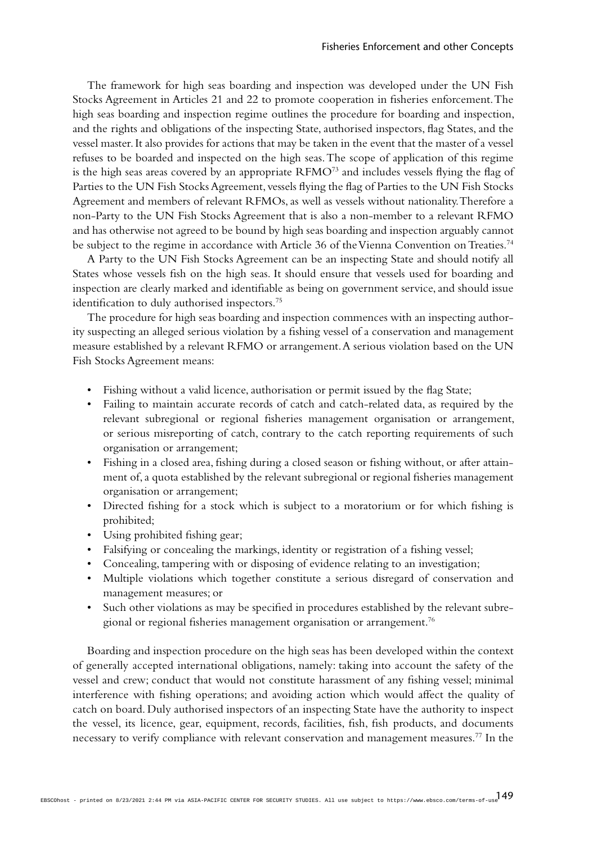The framework for high seas boarding and inspection was developed under the UN Fish Stocks Agreement in Articles 21 and 22 to promote cooperation in fisheries enforcement. The high seas boarding and inspection regime outlines the procedure for boarding and inspection, and the rights and obligations of the inspecting State, authorised inspectors, flag States, and the vessel master. It also provides for actions that may be taken in the event that the master of a vessel refuses to be boarded and inspected on the high seas. The scope of application of this regime is the high seas areas covered by an appropriate  $RFMO<sup>73</sup>$  and includes vessels flying the flag of Parties to the UN Fish Stocks Agreement, vessels flying the flag of Parties to the UN Fish Stocks Agreement and members of relevant RFMOs, as well as vessels without nationality. Therefore a non-Party to the UN Fish Stocks Agreement that is also a non-member to a relevant RFMO and has otherwise not agreed to be bound by high seas boarding and inspection arguably cannot be subject to the regime in accordance with Article 36 of the Vienna Convention on Treaties.<sup>74</sup>

A Party to the UN Fish Stocks Agreement can be an inspecting State and should notify all States whose vessels fish on the high seas. It should ensure that vessels used for boarding and inspection are clearly marked and identifiable as being on government service, and should issue identification to duly authorised inspectors.<sup>75</sup>

The procedure for high seas boarding and inspection commences with an inspecting authority suspecting an alleged serious violation by a fishing vessel of a conservation and management measure established by a relevant RFMO or arrangement. A serious violation based on the UN Fish Stocks Agreement means:

- Fishing without a valid licence, authorisation or permit issued by the flag State;
- Failing to maintain accurate records of catch and catch-related data, as required by the relevant subregional or regional fisheries management organisation or arrangement, or serious misreporting of catch, contrary to the catch reporting requirements of such organisation or arrangement;
- Fishing in a closed area, fishing during a closed season or fishing without, or after attainment of, a quota established by the relevant subregional or regional fisheries management organisation or arrangement;
- Directed fishing for a stock which is subject to a moratorium or for which fishing is prohibited;
- Using prohibited fishing gear;
- Falsifying or concealing the markings, identity or registration of a fishing vessel;
- Concealing, tampering with or disposing of evidence relating to an investigation;
- Multiple violations which together constitute a serious disregard of conservation and management measures; or
- Such other violations as may be specified in procedures established by the relevant subregional or regional fisheries management organisation or arrangement.<sup>76</sup>

Boarding and inspection procedure on the high seas has been developed within the context of generally accepted international obligations, namely: taking into account the safety of the vessel and crew; conduct that would not constitute harassment of any fishing vessel; minimal interference with fishing operations; and avoiding action which would affect the quality of catch on board. Duly authorised inspectors of an inspecting State have the authority to inspect the vessel, its licence, gear, equipment, records, facilities, fish, fish products, and documents necessary to verify compliance with relevant conservation and management measures.77 In the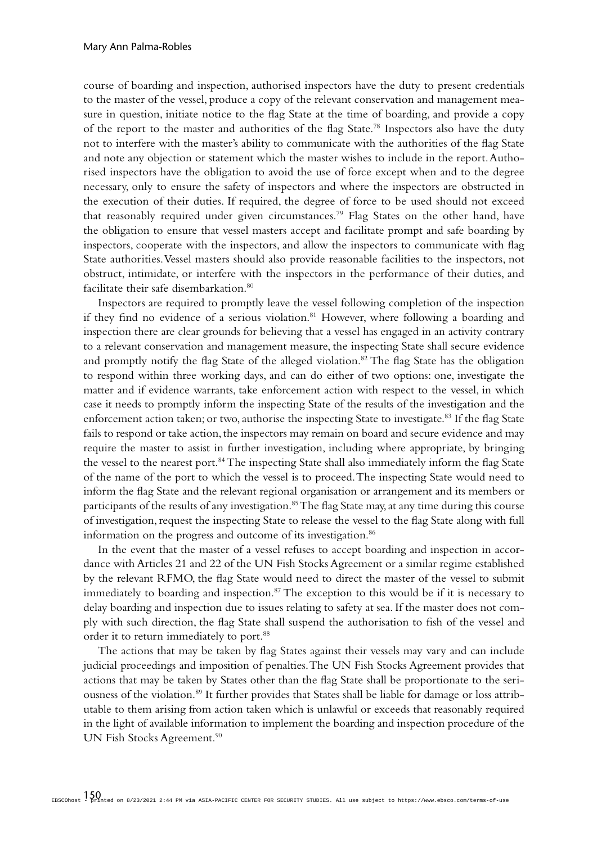course of boarding and inspection, authorised inspectors have the duty to present credentials to the master of the vessel, produce a copy of the relevant conservation and management measure in question, initiate notice to the flag State at the time of boarding, and provide a copy of the report to the master and authorities of the flag State.78 Inspectors also have the duty not to interfere with the master's ability to communicate with the authorities of the flag State and note any objection or statement which the master wishes to include in the report. Authorised inspectors have the obligation to avoid the use of force except when and to the degree necessary, only to ensure the safety of inspectors and where the inspectors are obstructed in the execution of their duties. If required, the degree of force to be used should not exceed that reasonably required under given circumstances.79 Flag States on the other hand, have the obligation to ensure that vessel masters accept and facilitate prompt and safe boarding by inspectors, cooperate with the inspectors, and allow the inspectors to communicate with flag State authorities. Vessel masters should also provide reasonable facilities to the inspectors, not obstruct, intimidate, or interfere with the inspectors in the performance of their duties, and facilitate their safe disembarkation.<sup>80</sup>

Inspectors are required to promptly leave the vessel following completion of the inspection if they find no evidence of a serious violation. $81$  However, where following a boarding and inspection there are clear grounds for believing that a vessel has engaged in an activity contrary to a relevant conservation and management measure, the inspecting State shall secure evidence and promptly notify the flag State of the alleged violation.<sup>82</sup> The flag State has the obligation to respond within three working days, and can do either of two options: one, investigate the matter and if evidence warrants, take enforcement action with respect to the vessel, in which case it needs to promptly inform the inspecting State of the results of the investigation and the enforcement action taken; or two, authorise the inspecting State to investigate.<sup>83</sup> If the flag State fails to respond or take action, the inspectors may remain on board and secure evidence and may require the master to assist in further investigation, including where appropriate, by bringing the vessel to the nearest port.<sup>84</sup> The inspecting State shall also immediately inform the flag State of the name of the port to which the vessel is to proceed. The inspecting State would need to inform the flag State and the relevant regional organisation or arrangement and its members or participants of the results of any investigation.<sup>85</sup> The flag State may, at any time during this course of investigation, request the inspecting State to release the vessel to the flag State along with full information on the progress and outcome of its investigation.<sup>86</sup>

In the event that the master of a vessel refuses to accept boarding and inspection in accordance with Articles 21 and 22 of the UN Fish Stocks Agreement or a similar regime established by the relevant RFMO, the flag State would need to direct the master of the vessel to submit immediately to boarding and inspection.<sup>87</sup> The exception to this would be if it is necessary to delay boarding and inspection due to issues relating to safety at sea. If the master does not comply with such direction, the flag State shall suspend the authorisation to fish of the vessel and order it to return immediately to port.<sup>88</sup>

The actions that may be taken by flag States against their vessels may vary and can include judicial proceedings and imposition of penalties. The UN Fish Stocks Agreement provides that actions that may be taken by States other than the flag State shall be proportionate to the seriousness of the violation.<sup>89</sup> It further provides that States shall be liable for damage or loss attributable to them arising from action taken which is unlawful or exceeds that reasonably required in the light of available information to implement the boarding and inspection procedure of the UN Fish Stocks Agreement.<sup>90</sup>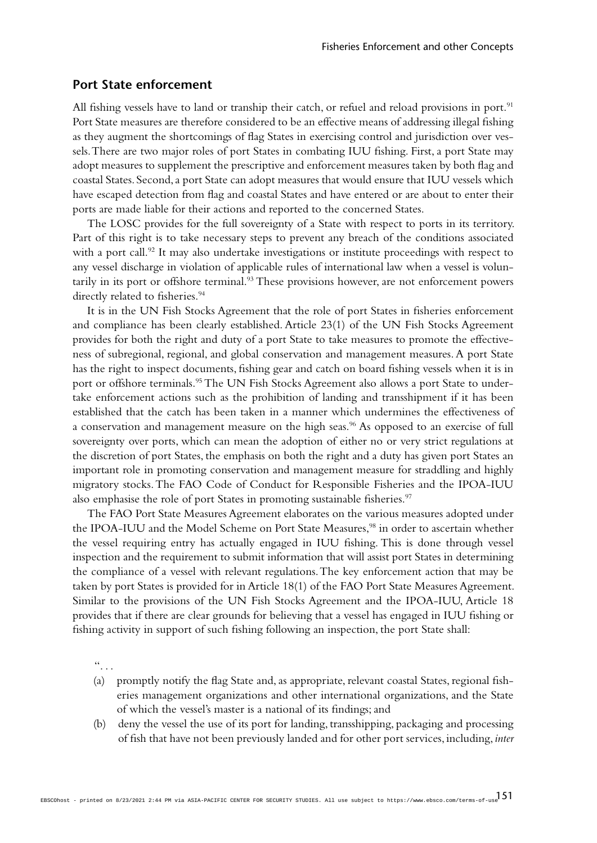#### **Port State enforcement**

All fishing vessels have to land or tranship their catch, or refuel and reload provisions in port.<sup>91</sup> Port State measures are therefore considered to be an effective means of addressing illegal fishing as they augment the shortcomings of flag States in exercising control and jurisdiction over vessels. There are two major roles of port States in combating IUU fishing. First, a port State may adopt measures to supplement the prescriptive and enforcement measures taken by both flag and coastal States. Second, a port State can adopt measures that would ensure that IUU vessels which have escaped detection from flag and coastal States and have entered or are about to enter their ports are made liable for their actions and reported to the concerned States.

The LOSC provides for the full sovereignty of a State with respect to ports in its territory. Part of this right is to take necessary steps to prevent any breach of the conditions associated with a port call.<sup>92</sup> It may also undertake investigations or institute proceedings with respect to any vessel discharge in violation of applicable rules of international law when a vessel is voluntarily in its port or offshore terminal.<sup>93</sup> These provisions however, are not enforcement powers directly related to fisheries.<sup>94</sup>

It is in the UN Fish Stocks Agreement that the role of port States in fisheries enforcement and compliance has been clearly established. Article 23(1) of the UN Fish Stocks Agreement provides for both the right and duty of a port State to take measures to promote the effectiveness of subregional, regional, and global conservation and management measures. A port State has the right to inspect documents, fishing gear and catch on board fishing vessels when it is in port or offshore terminals.<sup>95</sup> The UN Fish Stocks Agreement also allows a port State to undertake enforcement actions such as the prohibition of landing and transshipment if it has been established that the catch has been taken in a manner which undermines the effectiveness of a conservation and management measure on the high seas.<sup>96</sup> As opposed to an exercise of full sovereignty over ports, which can mean the adoption of either no or very strict regulations at the discretion of port States, the emphasis on both the right and a duty has given port States an important role in promoting conservation and management measure for straddling and highly migratory stocks. The FAO Code of Conduct for Responsible Fisheries and the IPOA-IUU also emphasise the role of port States in promoting sustainable fisheries.<sup>97</sup>

The FAO Port State Measures Agreement elaborates on the various measures adopted under the IPOA-IUU and the Model Scheme on Port State Measures,<sup>98</sup> in order to ascertain whether the vessel requiring entry has actually engaged in IUU fishing. This is done through vessel inspection and the requirement to submit information that will assist port States in determining the compliance of a vessel with relevant regulations. The key enforcement action that may be taken by port States is provided for in Article 18(1) of the FAO Port State Measures Agreement. Similar to the provisions of the UN Fish Stocks Agreement and the IPOA-IUU, Article 18 provides that if there are clear grounds for believing that a vessel has engaged in IUU fishing or fishing activity in support of such fishing following an inspection, the port State shall:

 $"$ . . .

- (a) promptly notify the flag State and, as appropriate, relevant coastal States, regional fisheries management organizations and other international organizations, and the State of which the vessel's master is a national of its findings;and
- (b) deny the vessel the use of its port for landing, transshipping, packaging and processing of fish that have not been previously landed and for other port services, including, *inter*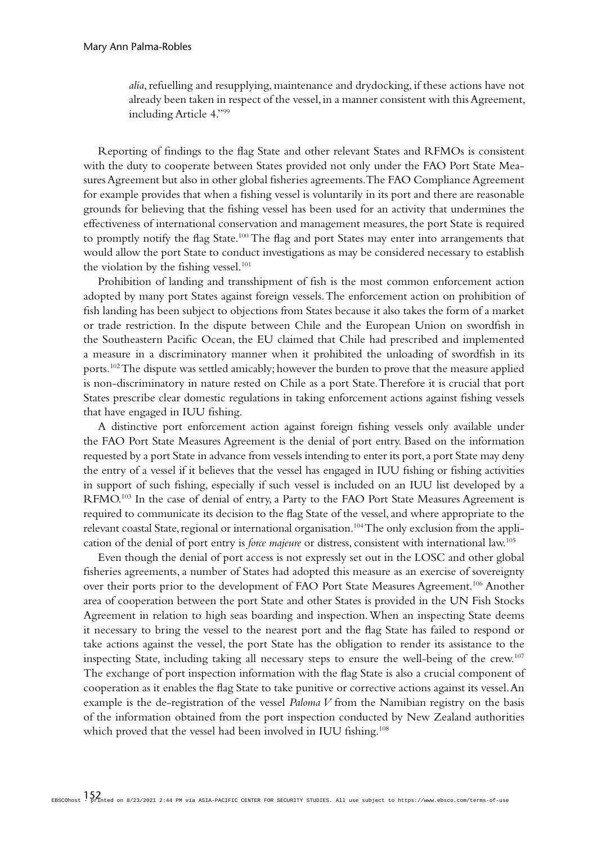*alia*, refuelling and resupplying, maintenance and drydocking, if these actions have not already been taken in respect of the vessel, in a manner consistent with this Agreement, including Article 4."99

Reporting of findings to the flag State and other relevant States and RFMOs is consistent with the duty to cooperate between States provided not only under the FAO Port State Measures Agreement but also in other global fisheries agreements. The FAO Compliance Agreement for example provides that when a fishing vessel is voluntarily in its port and there are reasonable grounds for believing that the fishing vessel has been used for an activity that undermines the effectiveness of international conservation and management measures, the port State is required to promptly notify the flag State.<sup>100</sup> The flag and port States may enter into arrangements that would allow the port State to conduct investigations as may be considered necessary to establish the violation by the fishing vessel.<sup>101</sup>

Prohibition of landing and transshipment of fish is the most common enforcement action adopted by many port States against foreign vessels. The enforcement action on prohibition of fish landing has been subject to objections from States because it also takes the form of a market or trade restriction. In the dispute between Chile and the European Union on swordfish in the Southeastern Pacific Ocean, the EU claimed that Chile had prescribed and implemented a measure in a discriminatory manner when it prohibited the unloading of swordfish in its ports.102 The dispute was settled amicably; however the burden to prove that the measure applied is non-discriminatory in nature rested on Chile as a port State. Therefore it is crucial that port States prescribe clear domestic regulations in taking enforcement actions against fishing vessels that have engaged in IUU fishing.

A distinctive port enforcement action against foreign fishing vessels only available under the FAO Port State Measures Agreement is the denial of port entry. Based on the information requested by a port State in advance from vessels intending to enter its port, a port State may deny the entry of a vessel if it believes that the vessel has engaged in IUU fishing or fishing activities in support of such fishing, especially if such vessel is included on an IUU list developed by a RFMO.103 In the case of denial of entry, a Party to the FAO Port State Measures Agreement is required to communicate its decision to the flag State of the vessel, and where appropriate to the relevant coastal State, regional or international organisation.104 The only exclusion from the application of the denial of port entry is *force majeure* or distress, consistent with international law.105

Even though the denial of port access is not expressly set out in the LOSC and other global fisheries agreements, a number of States had adopted this measure as an exercise of sovereignty over their ports prior to the development of FAO Port State Measures Agreement.106 Another area of cooperation between the port State and other States is provided in the UN Fish Stocks Agreement in relation to high seas boarding and inspection. When an inspecting State deems it necessary to bring the vessel to the nearest port and the flag State has failed to respond or take actions against the vessel, the port State has the obligation to render its assistance to the inspecting State, including taking all necessary steps to ensure the well-being of the crew.107 The exchange of port inspection information with the flag State is also a crucial component of cooperation as it enables the flag State to take punitive or corrective actions against its vessel. An example is the de-registration of the vessel *Paloma V* from the Namibian registry on the basis of the information obtained from the port inspection conducted by New Zealand authorities which proved that the vessel had been involved in IUU fishing.<sup>108</sup>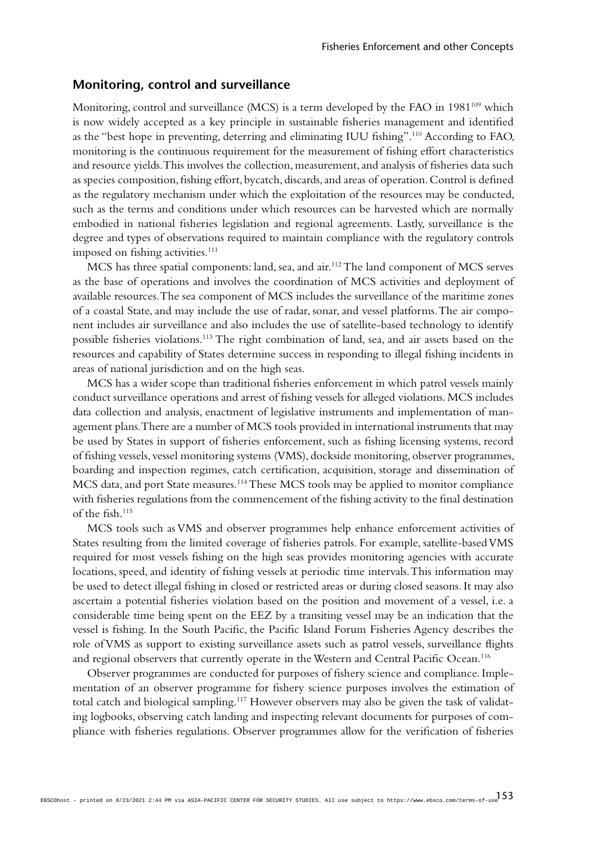#### **Monitoring, control and surveillance**

Monitoring, control and surveillance (MCS) is a term developed by the FAO in 1981<sup>109</sup> which is now widely accepted as a key principle in sustainable fisheries management and identified as the "best hope in preventing, deterring and eliminating IUU fishing".110 According to FAO, monitoring is the continuous requirement for the measurement of fishing effort characteristics and resource yields. This involves the collection, measurement, and analysis of fisheries data such as species composition, fishing effort, bycatch, discards, and areas of operation. Control is defined as the regulatory mechanism under which the exploitation of the resources may be conducted, such as the terms and conditions under which resources can be harvested which are normally embodied in national fisheries legislation and regional agreements. Lastly, surveillance is the degree and types of observations required to maintain compliance with the regulatory controls imposed on fishing activities.<sup>111</sup>

MCS has three spatial components: land, sea, and air.112 The land component of MCS serves as the base of operations and involves the coordination of MCS activities and deployment of available resources. The sea component of MCS includes the surveillance of the maritime zones of a coastal State, and may include the use of radar, sonar, and vessel platforms. The air component includes air surveillance and also includes the use of satellite-based technology to identify possible fisheries violations.113 The right combination of land, sea, and air assets based on the resources and capability of States determine success in responding to illegal fishing incidents in areas of national jurisdiction and on the high seas.

MCS has a wider scope than traditional fisheries enforcement in which patrol vessels mainly conduct surveillance operations and arrest of fishing vessels for alleged violations. MCS includes data collection and analysis, enactment of legislative instruments and implementation of management plans. There are a number of MCS tools provided in international instruments that may be used by States in support of fisheries enforcement, such as fishing licensing systems, record of fishing vessels, vessel monitoring systems (VMS), dockside monitoring, observer programmes, boarding and inspection regimes, catch certification, acquisition, storage and dissemination of MCS data, and port State measures.114 These MCS tools may be applied to monitor compliance with fisheries regulations from the commencement of the fishing activity to the final destination of the fish.115

MCS tools such as VMS and observer programmes help enhance enforcement activities of States resulting from the limited coverage of fisheries patrols. For example, satellite-based VMS required for most vessels fishing on the high seas provides monitoring agencies with accurate locations, speed, and identity of fishing vessels at periodic time intervals. This information may be used to detect illegal fishing in closed or restricted areas or during closed seasons. It may also ascertain a potential fisheries violation based on the position and movement of a vessel, i.e. a considerable time being spent on the EEZ by a transiting vessel may be an indication that the vessel is fishing. In the South Pacific, the Pacific Island Forum Fisheries Agency describes the role of VMS as support to existing surveillance assets such as patrol vessels, surveillance flights and regional observers that currently operate in the Western and Central Pacific Ocean.116

Observer programmes are conducted for purposes of fishery science and compliance. Implementation of an observer programme for fishery science purposes involves the estimation of total catch and biological sampling.<sup>117</sup> However observers may also be given the task of validating logbooks, observing catch landing and inspecting relevant documents for purposes of compliance with fisheries regulations. Observer programmes allow for the verification of fisheries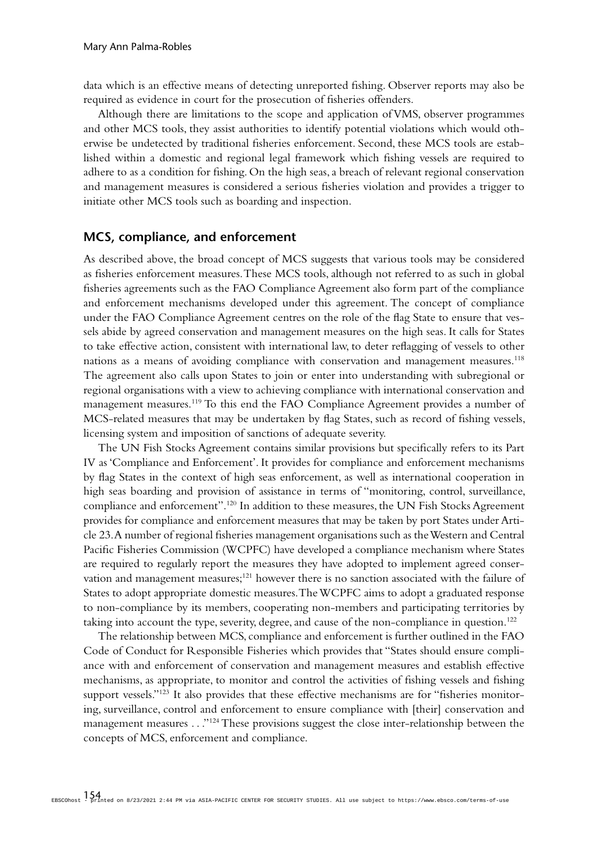data which is an effective means of detecting unreported fishing. Observer reports may also be required as evidence in court for the prosecution of fisheries offenders.

Although there are limitations to the scope and application of VMS, observer programmes and other MCS tools, they assist authorities to identify potential violations which would otherwise be undetected by traditional fisheries enforcement. Second, these MCS tools are established within a domestic and regional legal framework which fishing vessels are required to adhere to as a condition for fishing. On the high seas, a breach of relevant regional conservation and management measures is considered a serious fisheries violation and provides a trigger to initiate other MCS tools such as boarding and inspection.

## **MCS, compliance, and enforcement**

As described above, the broad concept of MCS suggests that various tools may be considered as fisheries enforcement measures. These MCS tools, although not referred to as such in global fisheries agreements such as the FAO Compliance Agreement also form part of the compliance and enforcement mechanisms developed under this agreement. The concept of compliance under the FAO Compliance Agreement centres on the role of the flag State to ensure that vessels abide by agreed conservation and management measures on the high seas. It calls for States to take effective action, consistent with international law, to deter reflagging of vessels to other nations as a means of avoiding compliance with conservation and management measures.<sup>118</sup> The agreement also calls upon States to join or enter into understanding with subregional or regional organisations with a view to achieving compliance with international conservation and management measures.119 To this end the FAO Compliance Agreement provides a number of MCS-related measures that may be undertaken by flag States, such as record of fishing vessels, licensing system and imposition of sanctions of adequate severity.

The UN Fish Stocks Agreement contains similar provisions but specifically refers to its Part IV as 'Compliance and Enforcement'. It provides for compliance and enforcement mechanisms by flag States in the context of high seas enforcement, as well as international cooperation in high seas boarding and provision of assistance in terms of "monitoring, control, surveillance, compliance and enforcement".120 In addition to these measures, the UN Fish Stocks Agreement provides for compliance and enforcement measures that may be taken by port States under Article 23. A number of regional fisheries management organisations such as the Western and Central Pacific Fisheries Commission (WCPFC) have developed a compliance mechanism where States are required to regularly report the measures they have adopted to implement agreed conservation and management measures;<sup>121</sup> however there is no sanction associated with the failure of States to adopt appropriate domestic measures. The WCPFC aims to adopt a graduated response to non-compliance by its members, cooperating non-members and participating territories by taking into account the type, severity, degree, and cause of the non-compliance in question.<sup>122</sup>

The relationship between MCS, compliance and enforcement is further outlined in the FAO Code of Conduct for Responsible Fisheries which provides that "States should ensure compliance with and enforcement of conservation and management measures and establish effective mechanisms, as appropriate, to monitor and control the activities of fishing vessels and fishing support vessels."<sup>123</sup> It also provides that these effective mechanisms are for "fisheries monitoring, surveillance, control and enforcement to ensure compliance with [their] conservation and management measures . . ."<sup>124</sup> These provisions suggest the close inter-relationship between the concepts of MCS, enforcement and compliance.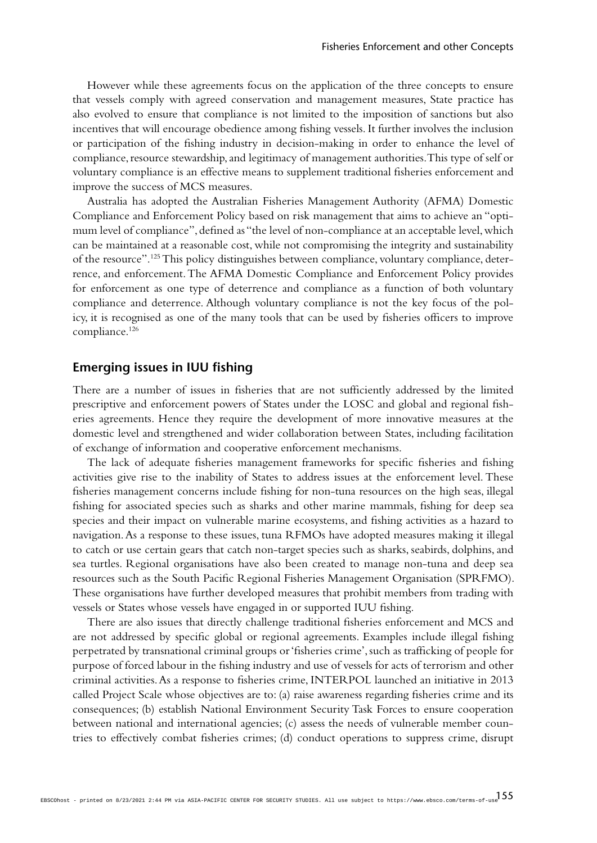However while these agreements focus on the application of the three concepts to ensure that vessels comply with agreed conservation and management measures, State practice has also evolved to ensure that compliance is not limited to the imposition of sanctions but also incentives that will encourage obedience among fishing vessels. It further involves the inclusion or participation of the fishing industry in decision-making in order to enhance the level of compliance, resource stewardship, and legitimacy of management authorities. This type of self or voluntary compliance is an effective means to supplement traditional fisheries enforcement and improve the success of MCS measures.

Australia has adopted the Australian Fisheries Management Authority (AFMA) Domestic Compliance and Enforcement Policy based on risk management that aims to achieve an "optimum level of compliance", defined as "the level of non-compliance at an acceptable level, which can be maintained at a reasonable cost, while not compromising the integrity and sustainability of the resource".125 This policy distinguishes between compliance, voluntary compliance, deterrence, and enforcement. The AFMA Domestic Compliance and Enforcement Policy provides for enforcement as one type of deterrence and compliance as a function of both voluntary compliance and deterrence. Although voluntary compliance is not the key focus of the policy, it is recognised as one of the many tools that can be used by fisheries officers to improve compliance.126

## **Emerging issues in IUU fishing**

There are a number of issues in fisheries that are not sufficiently addressed by the limited prescriptive and enforcement powers of States under the LOSC and global and regional fisheries agreements. Hence they require the development of more innovative measures at the domestic level and strengthened and wider collaboration between States, including facilitation of exchange of information and cooperative enforcement mechanisms.

The lack of adequate fisheries management frameworks for specific fisheries and fishing activities give rise to the inability of States to address issues at the enforcement level. These fisheries management concerns include fishing for non-tuna resources on the high seas, illegal fishing for associated species such as sharks and other marine mammals, fishing for deep sea species and their impact on vulnerable marine ecosystems, and fishing activities as a hazard to navigation. As a response to these issues, tuna RFMOs have adopted measures making it illegal to catch or use certain gears that catch non-target species such as sharks, seabirds, dolphins, and sea turtles. Regional organisations have also been created to manage non-tuna and deep sea resources such as the South Pacific Regional Fisheries Management Organisation (SPRFMO). These organisations have further developed measures that prohibit members from trading with vessels or States whose vessels have engaged in or supported IUU fishing.

There are also issues that directly challenge traditional fisheries enforcement and MCS and are not addressed by specific global or regional agreements. Examples include illegal fishing perpetrated by transnational criminal groups or 'fisheries crime', such as trafficking of people for purpose of forced labour in the fishing industry and use of vessels for acts of terrorism and other criminal activities. As a response to fisheries crime, INTERPOL launched an initiative in 2013 called Project Scale whose objectives are to: (a) raise awareness regarding fisheries crime and its consequences; (b) establish National Environment Security Task Forces to ensure cooperation between national and international agencies; (c) assess the needs of vulnerable member countries to effectively combat fisheries crimes; (d) conduct operations to suppress crime, disrupt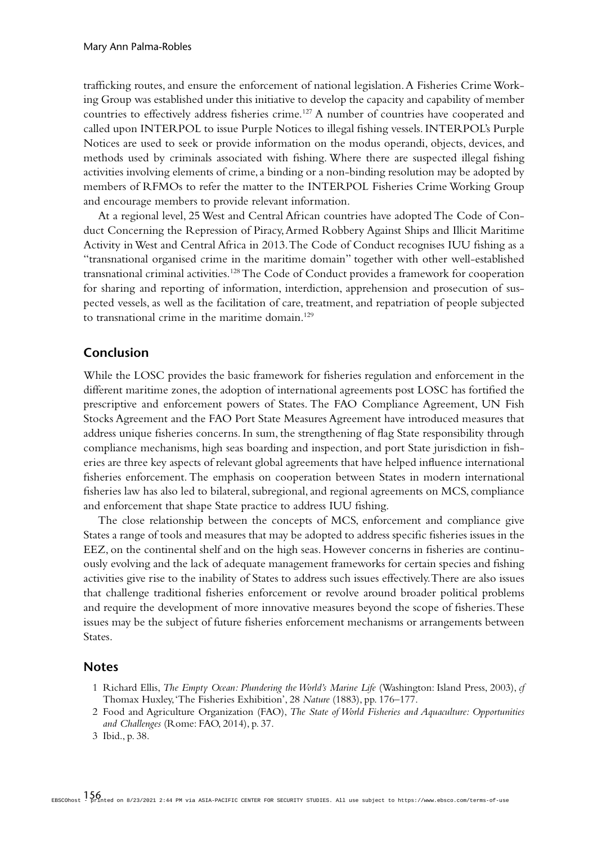trafficking routes, and ensure the enforcement of national legislation. A Fisheries Crime Working Group was established under this initiative to develop the capacity and capability of member countries to effectively address fisheries crime.127 A number of countries have cooperated and called upon INTERPOL to issue Purple Notices to illegal fishing vessels. INTERPOL's Purple Notices are used to seek or provide information on the modus operandi, objects, devices, and methods used by criminals associated with fishing. Where there are suspected illegal fishing activities involving elements of crime, a binding or a non-binding resolution may be adopted by members of RFMOs to refer the matter to the INTERPOL Fisheries Crime Working Group and encourage members to provide relevant information.

At a regional level, 25 West and Central African countries have adopted The Code of Conduct Concerning the Repression of Piracy, Armed Robbery Against Ships and Illicit Maritime Activity in West and Central Africa in 2013. The Code of Conduct recognises IUU fishing as a "transnational organised crime in the maritime domain" together with other well-established transnational criminal activities.128 The Code of Conduct provides a framework for cooperation for sharing and reporting of information, interdiction, apprehension and prosecution of suspected vessels, as well as the facilitation of care, treatment, and repatriation of people subjected to transnational crime in the maritime domain.<sup>129</sup>

## **Conclusion**

While the LOSC provides the basic framework for fisheries regulation and enforcement in the different maritime zones, the adoption of international agreements post LOSC has fortified the prescriptive and enforcement powers of States. The FAO Compliance Agreement, UN Fish Stocks Agreement and the FAO Port State Measures Agreement have introduced measures that address unique fisheries concerns. In sum, the strengthening of flag State responsibility through compliance mechanisms, high seas boarding and inspection, and port State jurisdiction in fisheries are three key aspects of relevant global agreements that have helped influence international fisheries enforcement. The emphasis on cooperation between States in modern international fisheries law has also led to bilateral, subregional, and regional agreements on MCS, compliance and enforcement that shape State practice to address IUU fishing.

The close relationship between the concepts of MCS, enforcement and compliance give States a range of tools and measures that may be adopted to address specific fisheries issues in the EEZ, on the continental shelf and on the high seas. However concerns in fisheries are continuously evolving and the lack of adequate management frameworks for certain species and fishing activities give rise to the inability of States to address such issues effectively. There are also issues that challenge traditional fisheries enforcement or revolve around broader political problems and require the development of more innovative measures beyond the scope of fisheries. These issues may be the subject of future fisheries enforcement mechanisms or arrangements between States.

#### **Notes**

- 1 Richard Ellis, *The Empty Ocean: Plundering the World's Marine Life* (Washington: Island Press, 2003), *cf* Thomax Huxley, 'The Fisheries Exhibition', 28 *Nature* (1883), pp. 176–177.
- 2 Food and Agriculture Organization (FAO), *The State of World Fisheries and Aquaculture: Opportunities and Challenges* (Rome: FAO, 2014), p. 37.
- 3 Ibid., p. 38.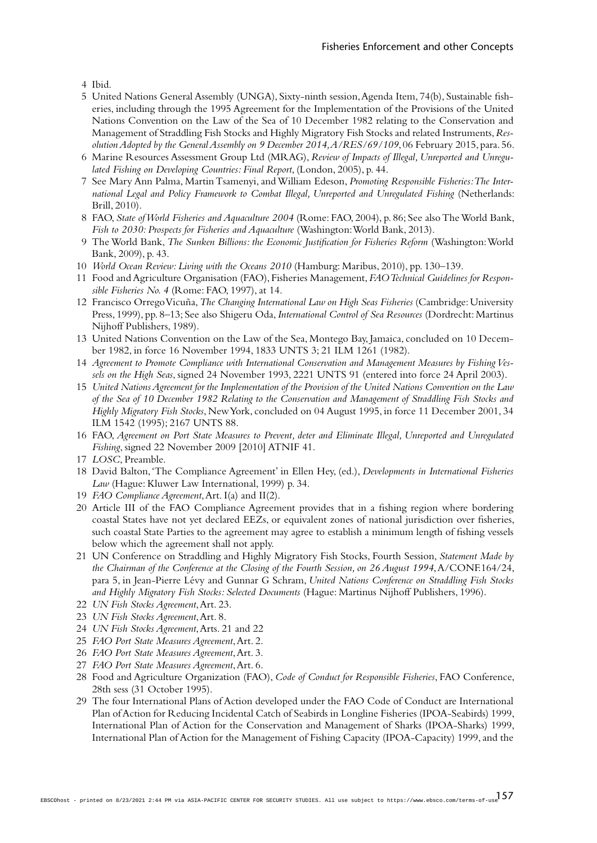- 4 Ibid.
- 5 United Nations General Assembly (UNGA), Sixty-ninth session, Agenda Item, 74(b), Sustainable fisheries, including through the 1995 Agreement for the Implementation of the Provisions of the United Nations Convention on the Law of the Sea of 10 December 1982 relating to the Conservation and Management of Straddling Fish Stocks and Highly Migratory Fish Stocks and related Instruments, *Resolution Adopted by the General Assembly on 9 December 2014, A/RES/69/109*, 06 February 2015, para. 56.
- 6 Marine Resources Assessment Group Ltd (MRAG), *Review of Impacts of Illegal, Unreported and Unregulated Fishing on Developing Countries: Final Report*, (London, 2005), p. 44.
- 7 See Mary Ann Palma, Martin Tsamenyi, and William Edeson, *Promoting Responsible Fisheries: The International Legal and Policy Framework to Combat Illegal, Unreported and Unregulated Fishing* (Netherlands: Brill, 2010).
- 8 FAO, *State of World Fisheries and Aquaculture 2004* (Rome: FAO, 2004), p. 86; See also The World Bank, *Fish to 2030: Prospects for Fisheries and Aquaculture* (Washington: World Bank, 2013).
- 9 The World Bank, *The Sunken Billions: the Economic Justification for Fisheries Reform* (Washington: World Bank, 2009), p. 43.
- 10 *World Ocean Review: Living with the Oceans 2010* (Hamburg: Maribus, 2010), pp. 130–139.
- 11 Food and Agriculture Organisation (FAO), Fisheries Management, *FAO Technical Guidelines for Responsible Fisheries No. 4* (Rome: FAO, 1997), at 14.
- 12 Francisco Orrego Vicuña, *The Changing International Law on High Seas Fisheries* (Cambridge: University Press, 1999), pp. 8–13; See also Shigeru Oda, *International Control of Sea Resources* (Dordrecht: Martinus Nijhoff Publishers, 1989).
- 13 United Nations Convention on the Law of the Sea, Montego Bay, Jamaica, concluded on 10 December 1982, in force 16 November 1994, 1833 UNTS 3; 21 ILM 1261 (1982).
- 14 *Agreement to Promote Compliance with International Conservation and Management Measures by Fishing Vessels on the High Seas*, signed 24 November 1993, 2221 UNTS 91 (entered into force 24 April 2003).
- 15 *United Nations Agreement for the Implementation of the Provision of the United Nations Convention on the Law of the Sea of 10 December 1982 Relating to the Conservation and Management of Straddling Fish Stocks and Highly Migratory Fish Stocks*, New York, concluded on 04 August 1995, in force 11 December 2001, 34 ILM 1542 (1995); 2167 UNTS 88.
- 16 FAO, *Agreement on Port State Measures to Prevent, deter and Eliminate Illegal, Unreported and Unregulated Fishing*, signed 22 November 2009 [2010] ATNIF 41.
- 17 *LOSC*, Preamble.
- 18 David Balton, 'The Compliance Agreement' in Ellen Hey, (ed.), *Developments in International Fisheries Law* (Hague: Kluwer Law International, 1999) p. 34.
- 19 *FAO Compliance Agreement*, Art. I(a) and II(2).
- 20 Article III of the FAO Compliance Agreement provides that in a fishing region where bordering coastal States have not yet declared EEZs, or equivalent zones of national jurisdiction over fisheries, such coastal State Parties to the agreement may agree to establish a minimum length of fishing vessels below which the agreement shall not apply.
- 21 UN Conference on Straddling and Highly Migratory Fish Stocks, Fourth Session, *Statement Made by the Chairman of the Conference at the Closing of the Fourth Session, on 26 August 1994*, A/CONF.164/24, para 5, in Jean-Pierre Lévy and Gunnar G Schram, *United Nations Conference on Straddling Fish Stocks and Highly Migratory Fish Stocks: Selected Documents* (Hague: Martinus Nijhoff Publishers, 1996).
- 22 *UN Fish Stocks Agreement*, Art. 23.
- 23 *UN Fish Stocks Agreement*, Art. 8.
- 24 *UN Fish Stocks Agreement*, Arts. 21 and 22
- 25 *FAO Port State Measures Agreement*, Art. 2.
- 26 *FAO Port State Measures Agreement*, Art. 3.
- 27 *FAO Port State Measures Agreement*, Art. 6.
- 28 Food and Agriculture Organization (FAO), *Code of Conduct for Responsible Fisheries*, FAO Conference, 28th sess (31 October 1995).
- 29 The four International Plans of Action developed under the FAO Code of Conduct are International Plan of Action for Reducing Incidental Catch of Seabirds in Longline Fisheries (IPOA-Seabirds) 1999, International Plan of Action for the Conservation and Management of Sharks (IPOA-Sharks) 1999, International Plan of Action for the Management of Fishing Capacity (IPOA-Capacity) 1999, and the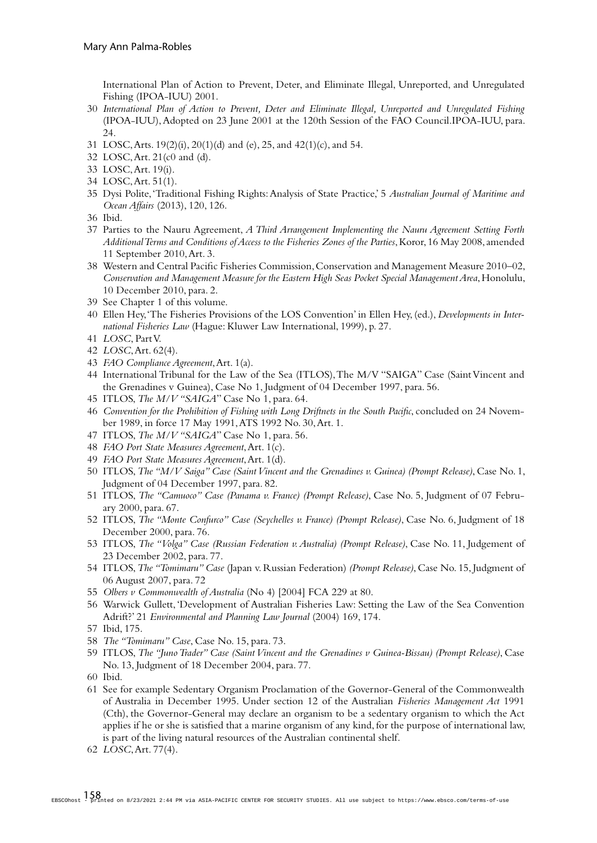International Plan of Action to Prevent, Deter, and Eliminate Illegal, Unreported, and Unregulated Fishing (IPOA-IUU) 2001.

- 30 *International Plan of Action to Prevent, Deter and Eliminate Illegal, Unreported and Unregulated Fishing* (IPOA-IUU), Adopted on 23 June 2001 at the 120th Session of the FAO Council.IPOA-IUU, para. 24.
- 31 LOSC, Arts. 19(2)(i), 20(1)(d) and (e), 25, and 42(1)(c), and 54.
- 32 LOSC, Art. 21(c0 and (d).
- 33 LOSC, Art. 19(i).
- 34 LOSC, Art. 51(1).
- 35 Dysi Polite, 'Traditional Fishing Rights: Analysis of State Practice,' 5 *Australian Journal of Maritime and Ocean Affairs* (2013), 120, 126.
- 36 Ibid.
- 37 Parties to the Nauru Agreement, *A Third Arrangement Implementing the Nauru Agreement Setting Forth Additional Terms and Conditions of Access to the Fisheries Zones of the Parties*, Koror, 16 May 2008, amended 11 September 2010, Art. 3.
- 38 Western and Central Pacific Fisheries Commission, Conservation and Management Measure 2010–02, *Conservation and Management Measure for the Eastern High Seas Pocket Special Management Area*, Honolulu, 10 December 2010, para. 2.
- 39 See Chapter 1 of this volume.
- 40 Ellen Hey, 'The Fisheries Provisions of the LOS Convention' in Ellen Hey, (ed.), *Developments in International Fisheries Law* (Hague: Kluwer Law International, 1999), p. 27.
- 41 *LOSC*, PartV.
- 42 *LOSC*, Art. 62(4).
- 43 *FAO Compliance Agreement*, Art. 1(a).
- 44 International Tribunal for the Law of the Sea (ITLOS), The M/V "SAIGA" Case (Saint Vincent and the Grenadines v Guinea), Case No 1, Judgment of 04 December 1997, para. 56.
- 45 ITLOS, *The M/V "SAIGA*" Case No 1, para. 64.
- 46 *Convention for the Prohibition of Fishing with Long Driftnets in the South Pacific*, concluded on 24 November 1989, in force 17 May 1991, ATS 1992 No. 30, Art. 1.
- 47 ITLOS, *The M/V "SAIGA*" Case No 1, para. 56.
- 48 *FAO Port State Measures Agreement*, Art. 1(c).
- 49 *FAO Port State Measures Agreement*, Art. 1(d).
- 50 ITLOS, *The "M/V Saiga" Case (Saint Vincent and the Grenadines v. Guinea) (Prompt Release)*, Case No. 1, Judgment of 04 December 1997, para. 82.
- 51 ITLOS, *The "Camuoco" Case (Panama v. France) (Prompt Release)*, Case No. 5, Judgment of 07 February 2000, para. 67.
- 52 ITLOS, *The "Monte Confurco" Case (Seychelles v. France) (Prompt Release)*, Case No. 6, Judgment of 18 December 2000, para. 76.
- 53 ITLOS, *The "Volga" Case (Russian Federation v. Australia) (Prompt Release)*, Case No. 11, Judgement of 23 December 2002, para. 77.
- 54 ITLOS, *The "Tomimaru" Case* (Japan v. Russian Federation) *(Prompt Release)*, Case No. 15, Judgment of 06 August 2007, para. 72
- 55 *Olbers v Commonwealth of Australia* (No 4) [2004] FCA 229 at 80.
- 56 Warwick Gullett, 'Development of Australian Fisheries Law: Setting the Law of the Sea Convention Adrift?' 21 *Environmental and Planning Law Journal* (2004) 169, 174.
- 57 Ibid, 175.
- 58 *The "Tomimaru" Case*, Case No. 15, para. 73.
- 59 ITLOS, *The "Juno Trader" Case (Saint Vincent and the Grenadines v Guinea-Bissau) (Prompt Release)*, Case No. 13, Judgment of 18 December 2004, para. 77.
- 60 Ibid.
- 61 See for example Sedentary Organism Proclamation of the Governor-General of the Commonwealth of Australia in December 1995. Under section 12 of the Australian *Fisheries Management Act* 1991 (Cth), the Governor-General may declare an organism to be a sedentary organism to which the Act applies if he or she is satisfied that a marine organism of any kind, for the purpose of international law, is part of the living natural resources of the Australian continental shelf.
- 62 *LOSC*, Art. 77(4).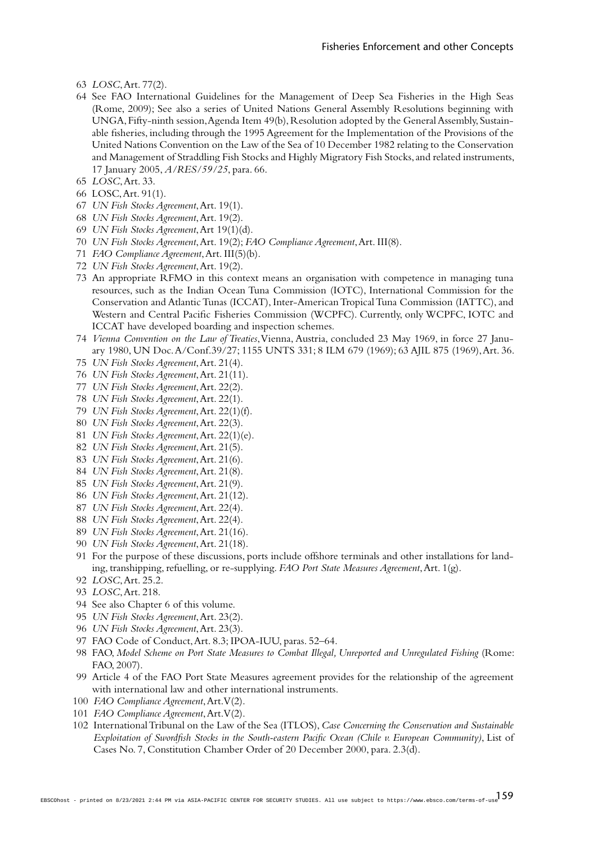#### *LOSC*, Art. 77(2).

- See FAO International Guidelines for the Management of Deep Sea Fisheries in the High Seas (Rome, 2009); See also a series of United Nations General Assembly Resolutions beginning with UNGA, Fifty-ninth session, Agenda Item 49(b), Resolution adopted by the General Assembly, Sustainable fisheries, including through the 1995 Agreement for the Implementation of the Provisions of the United Nations Convention on the Law of the Sea of 10 December 1982 relating to the Conservation and Management of Straddling Fish Stocks and Highly Migratory Fish Stocks, and related instruments, 17 January 2005, *A/RES/59/25*, para. 66.
- *LOSC*, Art. 33.
- LOSC, Art. 91(1).
- *UN Fish Stocks Agreement*, Art. 19(1).
- *UN Fish Stocks Agreement*, Art. 19(2).
- *UN Fish Stocks Agreement*, Art 19(1)(d).
- *UN Fish Stocks Agreement*, Art. 19(2); *FAO Compliance Agreement*, Art. III(8).
- *FAO Compliance Agreement*, Art. III(5)(b).
- *UN Fish Stocks Agreement*, Art. 19(2).
- An appropriate RFMO in this context means an organisation with competence in managing tuna resources, such as the Indian Ocean Tuna Commission (IOTC), International Commission for the Conservation and Atlantic Tunas (ICCAT), Inter-American Tropical Tuna Commission (IATTC), and Western and Central Pacific Fisheries Commission (WCPFC). Currently, only WCPFC, IOTC and ICCAT have developed boarding and inspection schemes.
- *Vienna Convention on the Law of Treaties*, Vienna, Austria, concluded 23 May 1969, in force 27 January 1980, UN Doc. A/Conf.39/27; 1155 UNTS 331; 8 ILM 679 (1969); 63 AJIL 875 (1969), Art. 36.
- *UN Fish Stocks Agreement*, Art. 21(4).
- *UN Fish Stocks Agreement*, Art. 21(11).
- *UN Fish Stocks Agreement*, Art. 22(2).
- *UN Fish Stocks Agreement*, Art. 22(1).
- *UN Fish Stocks Agreement*, Art. 22(1)(f).
- *UN Fish Stocks Agreement*, Art. 22(3).
- *UN Fish Stocks Agreement*, Art. 22(1)(e).
- *UN Fish Stocks Agreement*, Art. 21(5).
- *UN Fish Stocks Agreement*, Art. 21(6).
- *UN Fish Stocks Agreement*, Art. 21(8).
- *UN Fish Stocks Agreement*, Art. 21(9).
- *UN Fish Stocks Agreement*, Art. 21(12).
- *UN Fish Stocks Agreement*, Art. 22(4).
- *UN Fish Stocks Agreement*, Art. 22(4).
- *UN Fish Stocks Agreement*, Art. 21(16).
- *UN Fish Stocks Agreement*, Art. 21(18).
- For the purpose of these discussions, ports include offshore terminals and other installations for landing, transhipping, refuelling, or re-supplying. *FAO Port State Measures Agreement*, Art. 1(g).
- *LOSC*, Art. 25.2.
- *LOSC*, Art. 218.
- See also Chapter 6 of this volume.
- *UN Fish Stocks Agreement*, Art. 23(2).
- *UN Fish Stocks Agreement*, Art. 23(3).
- FAO Code of Conduct, Art. 8.3; IPOA-IUU, paras. 52–64.
- FAO, *Model Scheme on Port State Measures to Combat Illegal, Unreported and Unregulated Fishing* (Rome: FAO, 2007).
- Article 4 of the FAO Port State Measures agreement provides for the relationship of the agreement with international law and other international instruments.
- *FAO Compliance Agreement*, Art. V(2).
- *FAO Compliance Agreement*, Art. V(2).
- International Tribunal on the Law of the Sea (ITLOS), *Case Concerning the Conservation and Sustainable Exploitation of Swordfish Stocks in the South-eastern Pacific Ocean (Chile v. European Community)*, List of Cases No. 7, Constitution Chamber Order of 20 December 2000, para. 2.3(d).